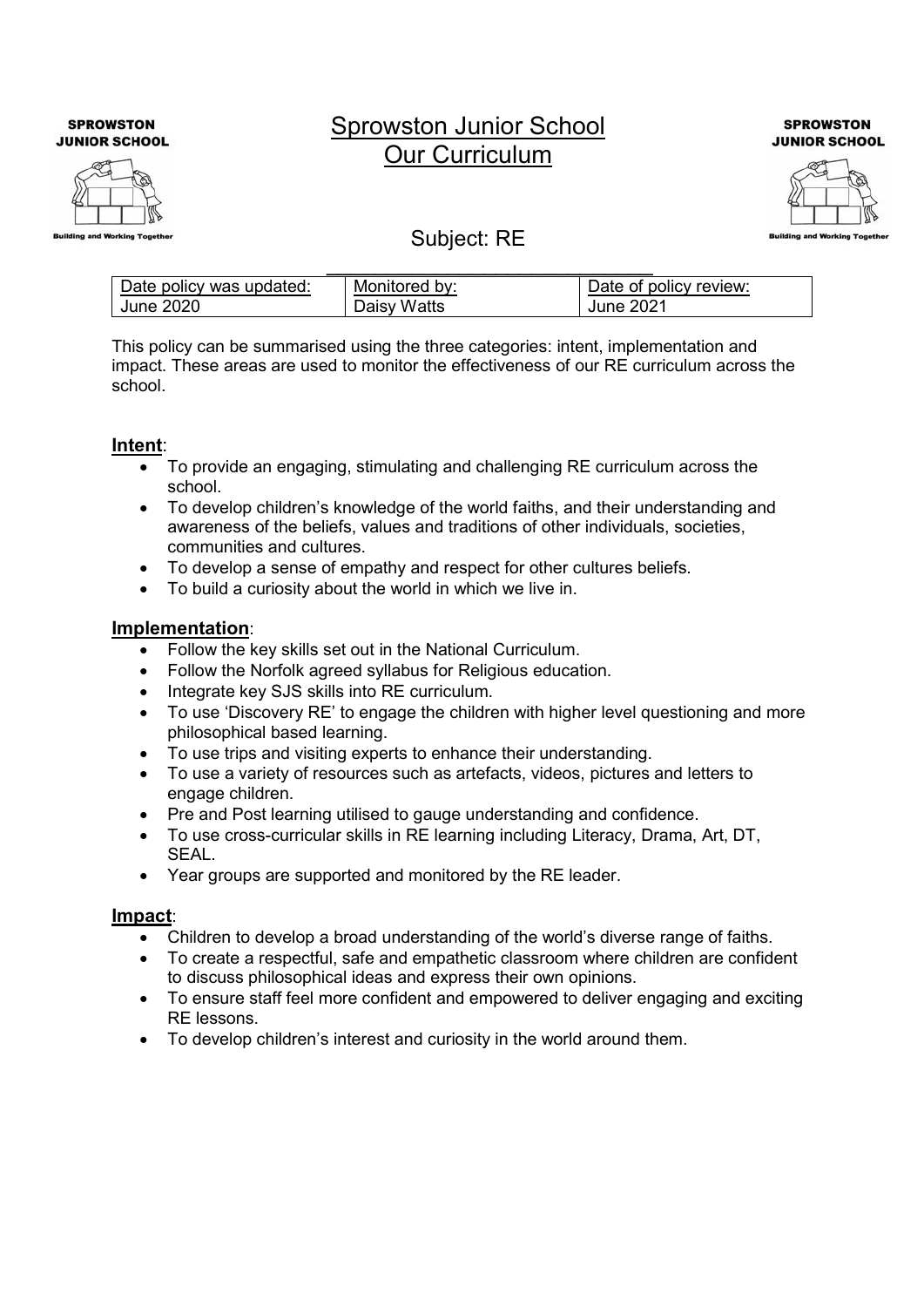**SPROWSTON JUNIOR SCHOOL** 



# Sprowston Junior School Our Curriculum

**SPROWSTON JUNIOR SCHOOL** 



# Subject: RE

| Date policy was updated: | Monitored by: | Date of policy review: |
|--------------------------|---------------|------------------------|
| June 2020                | Daisy Watts   | June 2021              |

This policy can be summarised using the three categories: intent, implementation and impact. These areas are used to monitor the effectiveness of our RE curriculum across the school.

## Intent:

- To provide an engaging, stimulating and challenging RE curriculum across the school.
- To develop children's knowledge of the world faiths, and their understanding and awareness of the beliefs, values and traditions of other individuals, societies, communities and cultures.
- To develop a sense of empathy and respect for other cultures beliefs.
- To build a curiosity about the world in which we live in.

#### Implementation:

- Follow the key skills set out in the National Curriculum.
- Follow the Norfolk agreed syllabus for Religious education.
- Integrate key SJS skills into RE curriculum.
- To use 'Discovery RE' to engage the children with higher level questioning and more philosophical based learning.
- To use trips and visiting experts to enhance their understanding.
- To use a variety of resources such as artefacts, videos, pictures and letters to engage children.
- Pre and Post learning utilised to gauge understanding and confidence.
- To use cross-curricular skills in RE learning including Literacy, Drama, Art, DT, SEAL.
- Year groups are supported and monitored by the RE leader.

## Impact:

- Children to develop a broad understanding of the world's diverse range of faiths.
- To create a respectful, safe and empathetic classroom where children are confident to discuss philosophical ideas and express their own opinions.
- To ensure staff feel more confident and empowered to deliver engaging and exciting RE lessons.
- To develop children's interest and curiosity in the world around them.